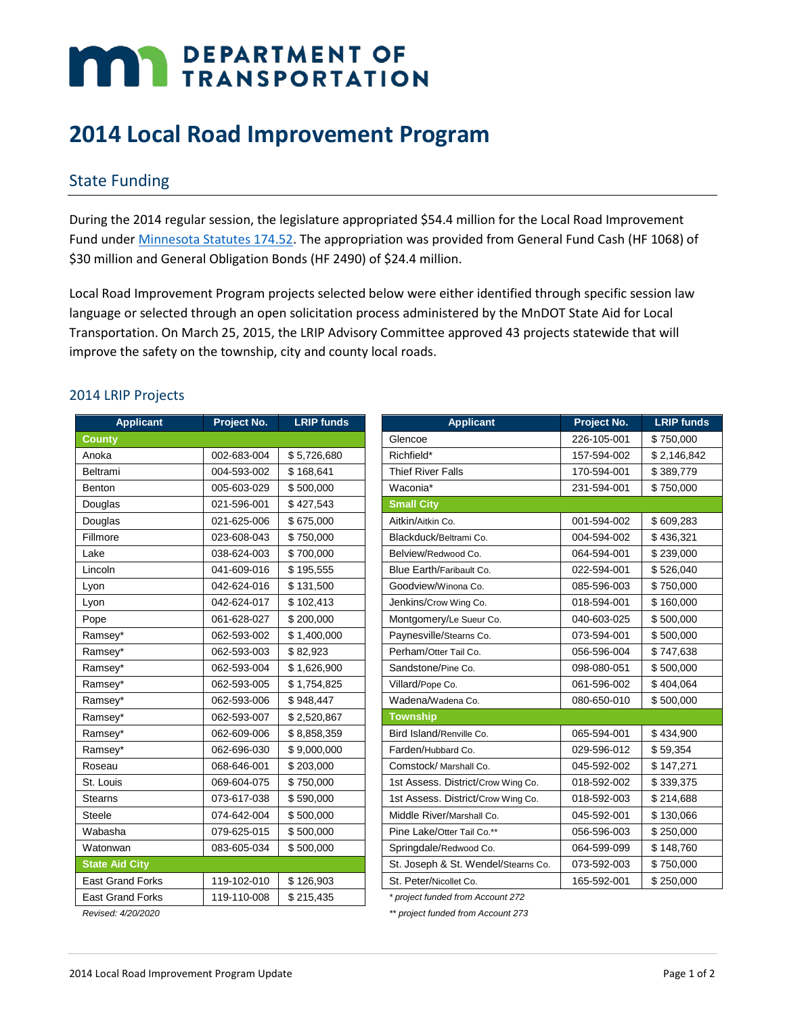# **MAY DEPARTMENT OF TRANSPORTATION**

# **2014 Local Road Improvement Program**

## State Funding

During the 2014 regular session, the legislature appropriated \$54.4 million for the Local Road Improvement Fund under [Minnesota Statutes 174.52.](https://www.revisor.mn.gov/statutes/?id=174.52) The appropriation was provided from General Fund Cash (HF 1068) of \$30 million and General Obligation Bonds (HF 2490) of \$24.4 million.

Local Road Improvement Program projects selected below were either identified through specific session law language or selected through an open solicitation process administered by the MnDOT State Aid for Local Transportation. On March 25, 2015, the LRIP Advisory Committee approved 43 projects statewide that will improve the safety on the township, city and county local roads.

#### 2014 LRIP Projects

| <b>Applicant</b>        | Project No. | <b>LRIP funds</b> |                    |
|-------------------------|-------------|-------------------|--------------------|
| <b>County</b>           |             |                   | Glencoe            |
| Anoka                   | 002-683-004 | \$5,726,680       | Richfield*         |
| Beltrami                | 004-593-002 | \$168,641         | <b>Thief River</b> |
| <b>Benton</b>           | 005-603-029 | \$500,000         | Waconia*           |
| Douglas                 | 021-596-001 | \$427,543         | <b>Small City</b>  |
| Douglas                 | 021-625-006 | \$675,000         | Aitkin/Aitkin      |
| Fillmore                | 023-608-043 | \$750,000         | Blackduck/         |
| Lake                    | 038-624-003 | \$700,000         | Belview/Re         |
| Lincoln                 | 041-609-016 | \$195,555         | Blue Earth         |
| Lyon                    | 042-624-016 | \$131,500         | Goodview/          |
| Lyon                    | 042-624-017 | \$102,413         | Jenkins/Cro        |
| Pope                    | 061-628-027 | \$200,000         | Montgome           |
| Ramsey*                 | 062-593-002 | \$1,400,000       | Paynesville        |
| Ramsey*                 | 062-593-003 | \$82,923          | Perham/Ott         |
| Ramsey*                 | 062-593-004 | \$1,626,900       | <b>Sandstone</b>   |
| Ramsey*                 | 062-593-005 | \$1,754,825       | Villard/Pope       |
| Ramsey*                 | 062-593-006 | \$948,447         | Wadena/w           |
| Ramsey*                 | 062-593-007 | \$2,520,867       | <b>Township</b>    |
| Ramsey*                 | 062-609-006 | \$8,858,359       | Bird Island        |
| Ramsey*                 | 062-696-030 | \$9,000,000       | Farden/Hut         |
| Roseau                  | 068-646-001 | \$203,000         | Comstock/          |
| St. Louis               | 069-604-075 | \$750,000         | 1st Assess         |
| <b>Stearns</b>          | 073-617-038 | \$590,000         | 1st Assess         |
| <b>Steele</b>           | 074-642-004 | \$500,000         | Middle Rive        |
| Wabasha                 | 079-625-015 | \$500,000         | Pine Lake/         |
| Watonwan                | 083-605-034 | \$500,000         | Springdale         |
| <b>State Aid City</b>   |             |                   | St. Joseph         |
| <b>East Grand Forks</b> | 119-102-010 | \$126,903         | St. Peter/N        |
| <b>East Grand Forks</b> | 119-110-008 | \$215,435         | * project fun      |
|                         |             |                   |                    |

| <b>Applicant</b>        | Project No. | <b>LRIP funds</b> |
|-------------------------|-------------|-------------------|
| County                  |             |                   |
| Anoka                   | 002-683-004 | \$5,726,680       |
| Beltrami                | 004-593-002 | \$168,641         |
| Benton                  | 005-603-029 | \$500,000         |
| Douglas                 | 021-596-001 | \$427,543         |
| Douglas                 | 021-625-006 | \$675,000         |
| Fillmore                | 023-608-043 | \$750,000         |
| Lake                    | 038-624-003 | \$700,000         |
| Lincoln                 | 041-609-016 | \$195,555         |
| Lyon                    | 042-624-016 | \$131,500         |
| Lyon                    | 042-624-017 | \$102,413         |
| Pope                    | 061-628-027 | \$200,000         |
| Ramsey*                 | 062-593-002 | \$1,400,000       |
| Ramsey*                 | 062-593-003 | \$82,923          |
| Ramsey*                 | 062-593-004 | \$1,626,900       |
| Ramsey*                 | 062-593-005 | \$1,754,825       |
| Ramsey*                 | 062-593-006 | \$948,447         |
| Ramsey*                 | 062-593-007 | \$2,520,867       |
| Ramsey*                 | 062-609-006 | \$8,858,359       |
| Ramsey*                 | 062-696-030 | \$9,000,000       |
| Roseau                  | 068-646-001 | \$203,000         |
| St. Louis               | 069-604-075 | \$750,000         |
| <b>Stearns</b>          | 073-617-038 | \$590,000         |
| Steele                  | 074-642-004 | \$500,000         |
| Wabasha                 | 079-625-015 | \$500,000         |
| Watonwan                | 083-605-034 | \$500,000         |
| <b>State Aid City</b>   |             |                   |
| <b>East Grand Forks</b> | 119-102-010 | \$126,903         |
|                         |             |                   |

 $*$  project funded from Account 272

*Revised: 4/20/2020 \*\* project funded from Account 273*